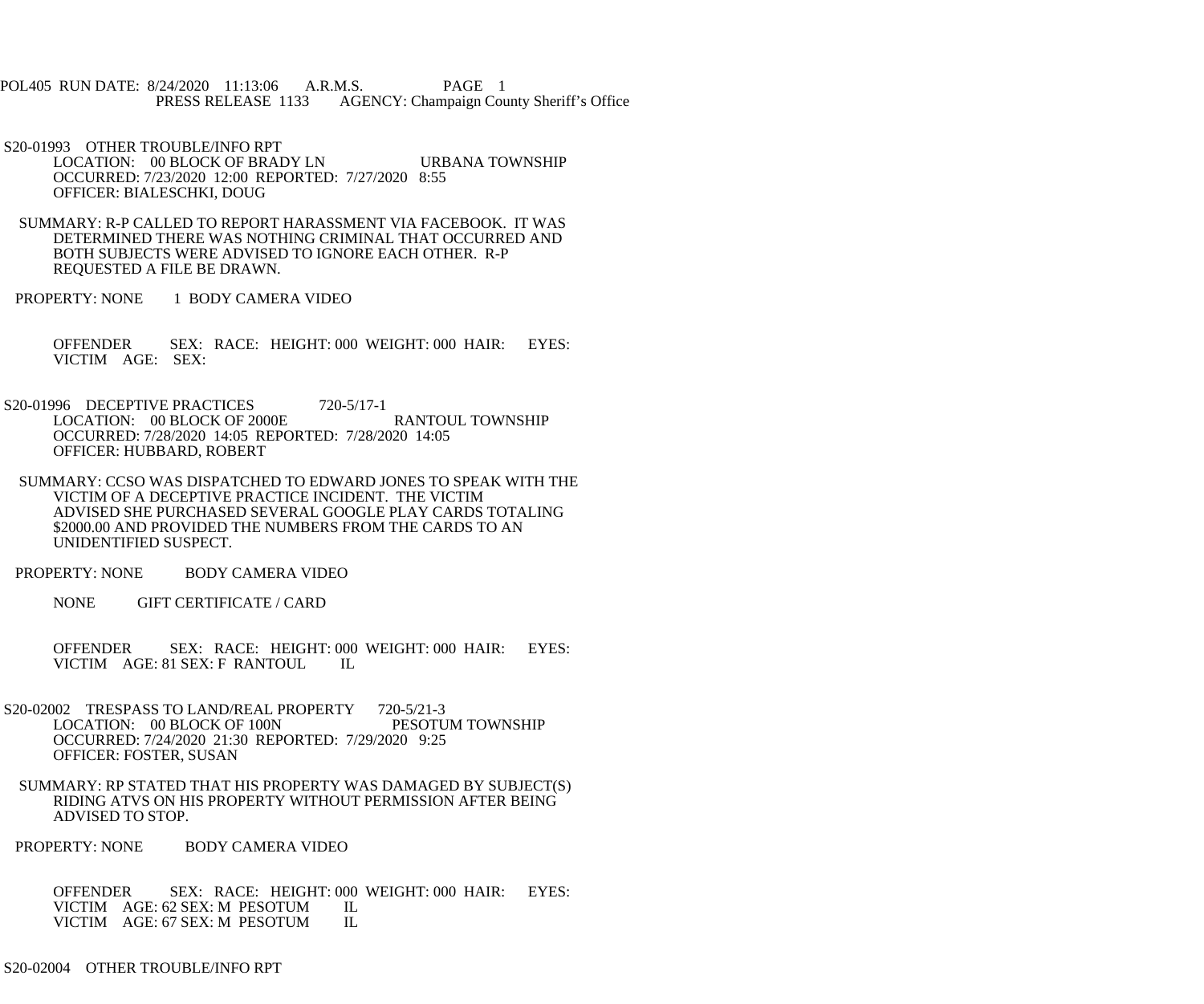POL405 RUN DATE: 8/24/2020 11:13:06 A.R.M.S. PAGE 1 PRESS RELEASE 1133 AGENCY: Champaign County Sheriff's Office

 S20-01993 OTHER TROUBLE/INFO RPT LOCATION: 00 BLOCK OF BRADY LN URBANA TOWNSHIP OCCURRED: 7/23/2020 12:00 REPORTED: 7/27/2020 8:55 OFFICER: BIALESCHKI, DOUG

 SUMMARY: R-P CALLED TO REPORT HARASSMENT VIA FACEBOOK. IT WAS DETERMINED THERE WAS NOTHING CRIMINAL THAT OCCURRED AND BOTH SUBJECTS WERE ADVISED TO IGNORE EACH OTHER. R-P REQUESTED A FILE BE DRAWN.

PROPERTY: NONE 1 BODY CAMERA VIDEO

 OFFENDER SEX: RACE: HEIGHT: 000 WEIGHT: 000 HAIR: EYES: VICTIM AGE: SEX:

S20-01996 DECEPTIVE PRACTICES 720-5/17-1 LOCATION: 00 BLOCK OF 2000E RANTOUL TOWNSHIP OCCURRED: 7/28/2020 14:05 REPORTED: 7/28/2020 14:05 OFFICER: HUBBARD, ROBERT

 SUMMARY: CCSO WAS DISPATCHED TO EDWARD JONES TO SPEAK WITH THE VICTIM OF A DECEPTIVE PRACTICE INCIDENT. THE VICTIM ADVISED SHE PURCHASED SEVERAL GOOGLE PLAY CARDS TOTALING \$2000.00 AND PROVIDED THE NUMBERS FROM THE CARDS TO AN UNIDENTIFIED SUSPECT.

PROPERTY: NONE BODY CAMERA VIDEO

NONE GIFT CERTIFICATE / CARD

 OFFENDER SEX: RACE: HEIGHT: 000 WEIGHT: 000 HAIR: EYES: VICTIM AGE: 81 SEX: F RANTOUL IL

- S20-02002 TRESPASS TO LAND/REAL PROPERTY 720-5/21-3<br>LOCATION: 00 BLOCK OF 100N PESOTUM TOWNSHIP LOCATION: 00 BLOCK OF 100N OCCURRED: 7/24/2020 21:30 REPORTED: 7/29/2020 9:25 OFFICER: FOSTER, SUSAN
- SUMMARY: RP STATED THAT HIS PROPERTY WAS DAMAGED BY SUBJECT(S) RIDING ATVS ON HIS PROPERTY WITHOUT PERMISSION AFTER BEING ADVISED TO STOP.

PROPERTY: NONE BODY CAMERA VIDEO

OFFENDER SEX: RACE: HEIGHT: 000 WEIGHT: 000 HAIR: EYES: VICTIM AGE: 62 SEX: M PESOTUM IL VICTIM AGE: 62 SEX: M PESOTUM IL<br>VICTIM AGE: 67 SEX: M PESOTUM IL VICTIM AGE: 67 SEX: M PESOTUM

S20-02004 OTHER TROUBLE/INFO RPT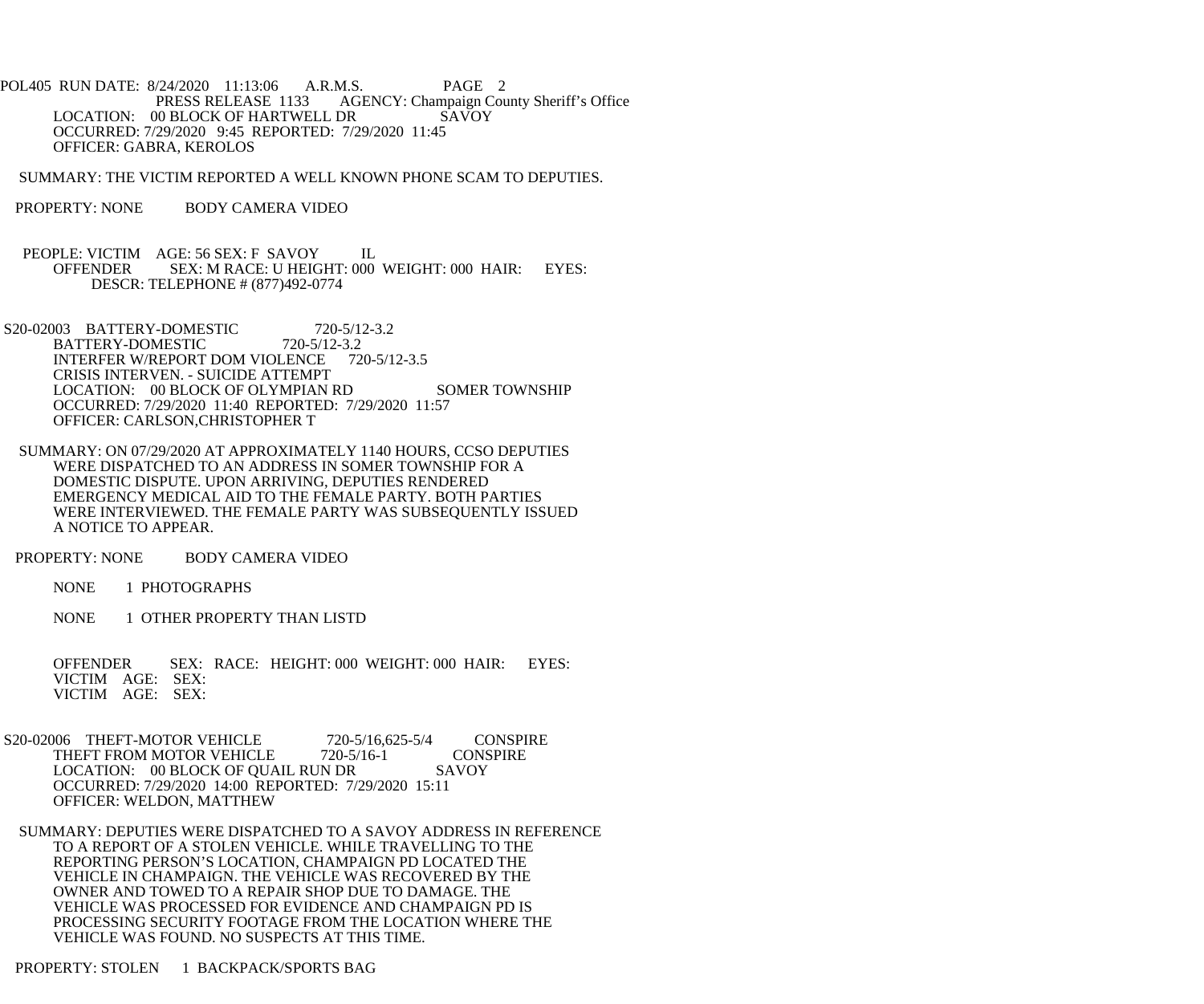POL405 RUN DATE: 8/24/2020 11:13:06 A.R.M.S. PAGE 2 PRESS RELEASE 1133 AGENCY: Champaign County Sheriff's Office LOCATION: 00 BLOCK OF HARTWELL DR SAVOY OCCURRED: 7/29/2020 9:45 REPORTED: 7/29/2020 11:45 OFFICER: GABRA, KEROLOS

SUMMARY: THE VICTIM REPORTED A WELL KNOWN PHONE SCAM TO DEPUTIES.

- PROPERTY: NONE BODY CAMERA VIDEO
- PEOPLE: VICTIM AGE: 56 SEX: F SAVOY IL OFFENDER SEX: M RACE: U HEIGHT: 000 WEIGHT: 000 HAIR: EYES: DESCR: TELEPHONE # (877)492-0774
- S20-02003 BATTERY-DOMESTIC 720-5/12-3.2 BATTERY-DOMESTIC 720-5/12-3.2<br>INTERFER W/REPORT DOM VIOLENCE 720-5/12-3.5 INTERFER W/REPORT DOM VIOLENCE CRISIS INTERVEN. - SUICIDE ATTEMPT LOCATION: 00 BLOCK OF OLYMPIAN RD SOMER TOWNSHIP OCCURRED: 7/29/2020 11:40 REPORTED: 7/29/2020 11:57 OFFICER: CARLSON,CHRISTOPHER T
- SUMMARY: ON 07/29/2020 AT APPROXIMATELY 1140 HOURS, CCSO DEPUTIES WERE DISPATCHED TO AN ADDRESS IN SOMER TOWNSHIP FOR A DOMESTIC DISPUTE. UPON ARRIVING, DEPUTIES RENDERED EMERGENCY MEDICAL AID TO THE FEMALE PARTY. BOTH PARTIES WERE INTERVIEWED. THE FEMALE PARTY WAS SUBSEQUENTLY ISSUED A NOTICE TO APPEAR.
- PROPERTY: NONE BODY CAMERA VIDEO
	- NONE 1 PHOTOGRAPHS
	- NONE 1 OTHER PROPERTY THAN LISTD
	- OFFENDER SEX: RACE: HEIGHT: 000 WEIGHT: 000 HAIR: EYES: VICTIM AGE: SEX: VICTIM AGE: SEX:
- S20-02006 THEFT-MOTOR VEHICLE 720-5/16,625-5/4 CONSPIRE<br>THEFT FROM MOTOR VEHICLE 720-5/16-1 CONSPIRE THEFT FROM MOTOR VEHICLE LOCATION: 00 BLOCK OF QUAIL RUN DR SAVOY OCCURRED: 7/29/2020 14:00 REPORTED: 7/29/2020 15:11 OFFICER: WELDON, MATTHEW
	- SUMMARY: DEPUTIES WERE DISPATCHED TO A SAVOY ADDRESS IN REFERENCE TO A REPORT OF A STOLEN VEHICLE. WHILE TRAVELLING TO THE REPORTING PERSON'S LOCATION, CHAMPAIGN PD LOCATED THE VEHICLE IN CHAMPAIGN. THE VEHICLE WAS RECOVERED BY THE OWNER AND TOWED TO A REPAIR SHOP DUE TO DAMAGE. THE VEHICLE WAS PROCESSED FOR EVIDENCE AND CHAMPAIGN PD IS PROCESSING SECURITY FOOTAGE FROM THE LOCATION WHERE THE VEHICLE WAS FOUND. NO SUSPECTS AT THIS TIME.

## PROPERTY: STOLEN 1 BACKPACK/SPORTS BAG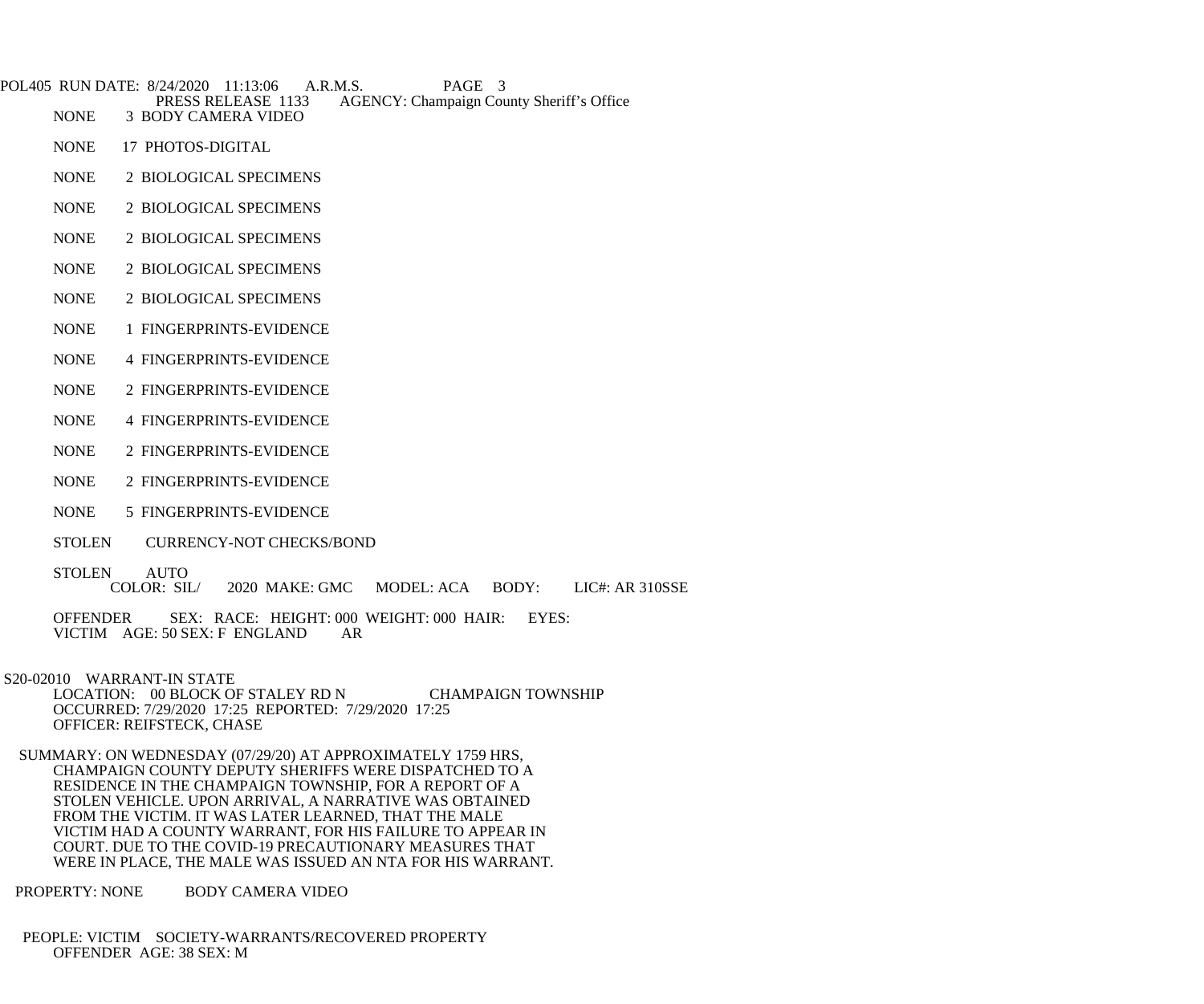POL405 RUN DATE: 8/24/2020 11:13:06 A.R.M.S. PAGE 3<br>PRESS RELEASE 1133 AGENCY: Champaign Cou PRESS RELEASE 1133 AGENCY: Champaign County Sheriff's Office<br>NONE 3 BODY CAMERA VIDEO

- NONE 17 PHOTOS-DIGITAL
- NONE 2 BIOLOGICAL SPECIMENS

**3 BODY CAMERA VIDEO** 

- NONE 2 BIOLOGICAL SPECIMENS
- NONE 2 BIOLOGICAL SPECIMENS
- NONE 2 BIOLOGICAL SPECIMENS
- NONE 2 BIOLOGICAL SPECIMENS
- NONE 1 FINGERPRINTS-EVIDENCE
- NONE 4 FINGERPRINTS-EVIDENCE
- NONE 2 FINGERPRINTS-EVIDENCE
- NONE 4 FINGERPRINTS-EVIDENCE
- NONE 2 FINGERPRINTS-EVIDENCE
- NONE 2 FINGERPRINTS-EVIDENCE
- NONE 5 FINGERPRINTS-EVIDENCE
- STOLEN CURRENCY-NOT CHECKS/BOND
- STOLEN AUTO<br>COLOR: SIL/ 2020 MAKE: GMC MODEL: ACA BODY: LIC#: AR 310SSE
- OFFENDER SEX: RACE: HEIGHT: 000 WEIGHT: 000 HAIR: EYES: VICTIM AGE: 50 SEX: F ENGLAND AR VICTIM AGE: 50 SEX: F ENGLAND
- S20-02010 WARRANT-IN STATE LOCATION: 00 BLOCK OF STALEY RD N CHAMPAIGN TOWNSHIP OCCURRED: 7/29/2020 17:25 REPORTED: 7/29/2020 17:25 OFFICER: REIFSTECK, CHASE
	- SUMMARY: ON WEDNESDAY (07/29/20) AT APPROXIMATELY 1759 HRS, CHAMPAIGN COUNTY DEPUTY SHERIFFS WERE DISPATCHED TO A RESIDENCE IN THE CHAMPAIGN TOWNSHIP, FOR A REPORT OF A STOLEN VEHICLE. UPON ARRIVAL, A NARRATIVE WAS OBTAINED FROM THE VICTIM. IT WAS LATER LEARNED, THAT THE MALE VICTIM HAD A COUNTY WARRANT, FOR HIS FAILURE TO APPEAR IN COURT. DUE TO THE COVID-19 PRECAUTIONARY MEASURES THAT WERE IN PLACE, THE MALE WAS ISSUED AN NTA FOR HIS WARRANT.
- PROPERTY: NONE BODY CAMERA VIDEO
- PEOPLE: VICTIM SOCIETY-WARRANTS/RECOVERED PROPERTY OFFENDER AGE: 38 SEX: M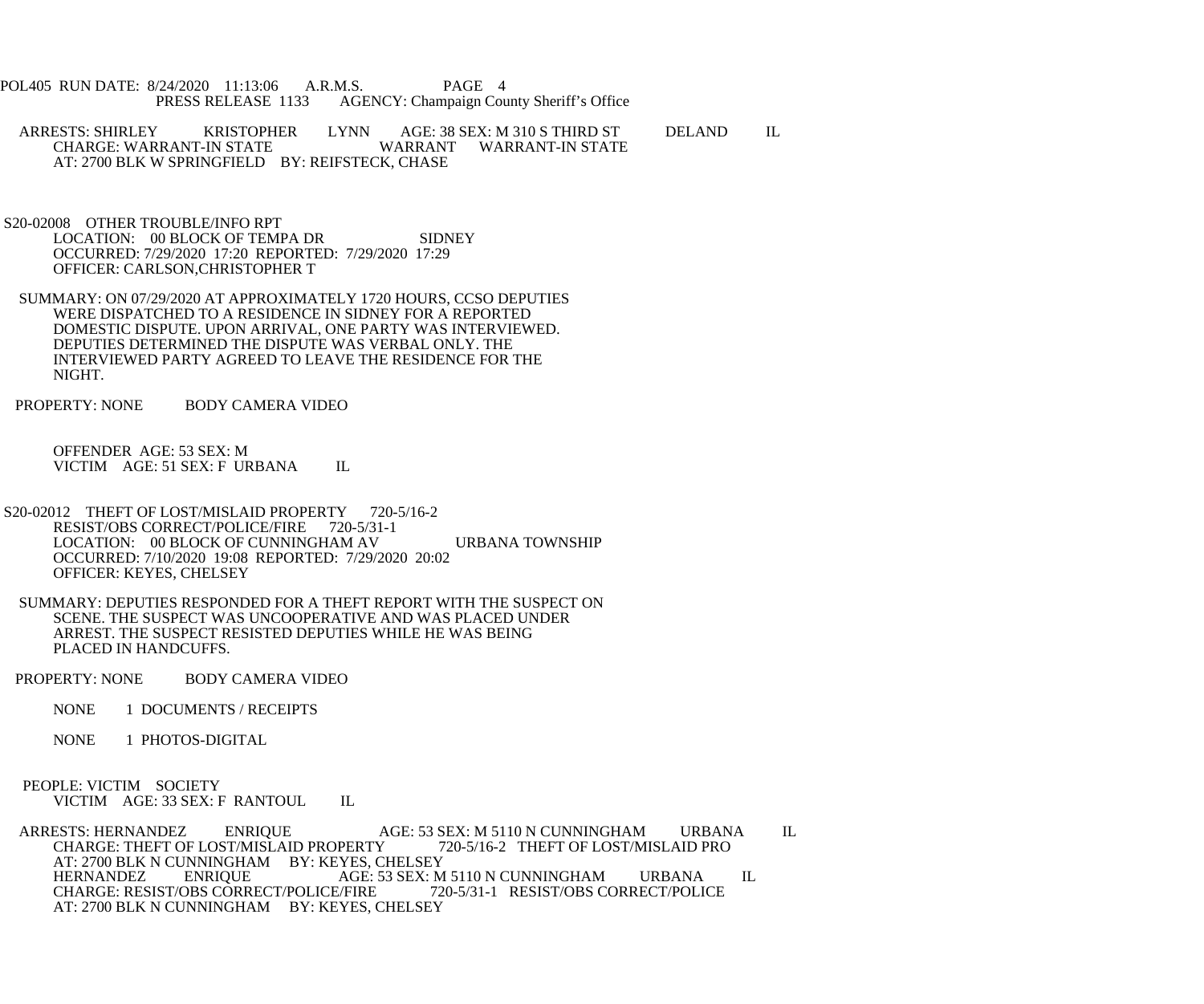POL405 RUN DATE: 8/24/2020 11:13:06 A.R.M.S. PAGE 4<br>PRESS RELEASE 1133 AGENCY: Champaign Cou AGENCY: Champaign County Sheriff's Office

 ARRESTS: SHIRLEY KRISTOPHER LYNN AGE: 38 SEX: M 310 S THIRD ST DELAND IL WARRANT WARRANT-IN STATE AT: 2700 BLK W SPRINGFIELD BY: REIFSTECK, CHASE

 S20-02008 OTHER TROUBLE/INFO RPT LOCATION: 00 BLOCK OF TEMPA DR SIDNEY OCCURRED: 7/29/2020 17:20 REPORTED: 7/29/2020 17:29 OFFICER: CARLSON,CHRISTOPHER T

 SUMMARY: ON 07/29/2020 AT APPROXIMATELY 1720 HOURS, CCSO DEPUTIES WERE DISPATCHED TO A RESIDENCE IN SIDNEY FOR A REPORTED DOMESTIC DISPUTE. UPON ARRIVAL, ONE PARTY WAS INTERVIEWED. DEPUTIES DETERMINED THE DISPUTE WAS VERBAL ONLY. THE INTERVIEWED PARTY AGREED TO LEAVE THE RESIDENCE FOR THE NIGHT.

PROPERTY: NONE BODY CAMERA VIDEO

 OFFENDER AGE: 53 SEX: M VICTIM AGE: 51 SEX: F URBANA IL

- S20-02012 THEFT OF LOST/MISLAID PROPERTY 720-5/16-2 RESIST/OBS CORRECT/POLICE/FIRE 720-5/31-1 LOCATION: 00 BLOCK OF CUNNINGHAM AV URBANA TOWNSHIP OCCURRED: 7/10/2020 19:08 REPORTED: 7/29/2020 20:02 OFFICER: KEYES, CHELSEY
- SUMMARY: DEPUTIES RESPONDED FOR A THEFT REPORT WITH THE SUSPECT ON SCENE. THE SUSPECT WAS UNCOOPERATIVE AND WAS PLACED UNDER ARREST. THE SUSPECT RESISTED DEPUTIES WHILE HE WAS BEING PLACED IN HANDCUFFS.

PROPERTY: NONE BODY CAMERA VIDEO

NONE 1 DOCUMENTS / RECEIPTS

NONE 1 PHOTOS-DIGITAL

 PEOPLE: VICTIM SOCIETY VICTIM AGE: 33 SEX: F RANTOUL IL

ARRESTS: HERNANDEZ ENRIQUE AGE: 53 SEX: M 5110 N CUNNINGHAM URBANA IL<br>CHARGE: THEFT OF LOST/MISLAID PROPERTY 720-5/16-2 THEFT OF LOST/MISLAID PRO CHARGE: THEFT OF LOST/MISLAID PROPERTY AT: 2700 BLK N CUNNINGHAM BY: KEYES, CHELSEY<br>HERNANDEZ ENRIOUE AGE: 53 SEX: M AGE: 53 SEX: M 5110 N CUNNINGHAM URBANA IL<br>E/FIRE 720-5/31-1 RESIST/OBS CORRECT/POLICE CHARGE: RESIST/OBS CORRECT/POLICE/FIRE AT: 2700 BLK N CUNNINGHAM BY: KEYES, CHELSEY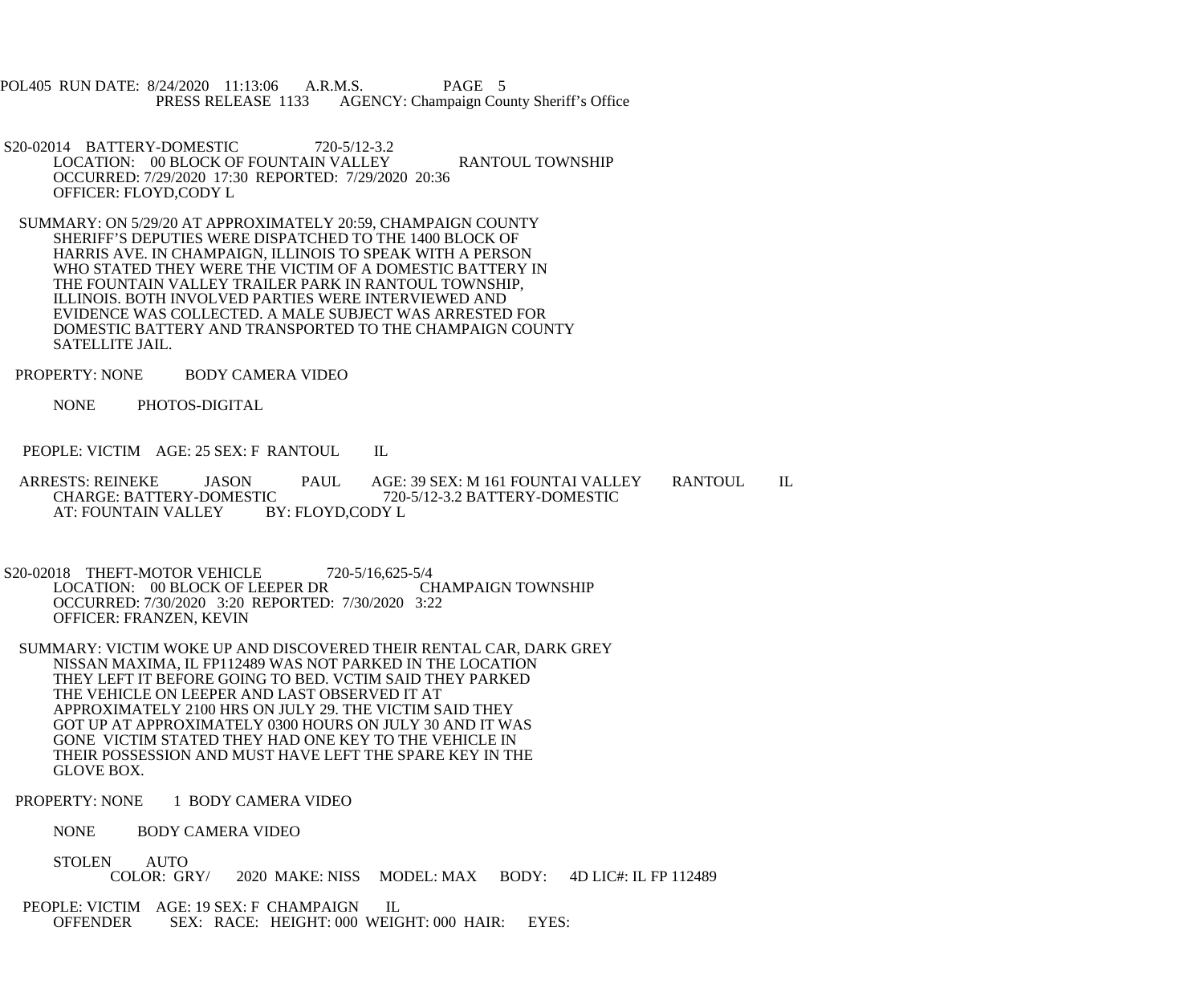POL405 RUN DATE: 8/24/2020 11:13:06 A.R.M.S. PAGE 5<br>PRESS RELEASE 1133 AGENCY: Champaign Cou AGENCY: Champaign County Sheriff's Office

- S20-02014 BATTERY-DOMESTIC 720-5/12-3.2 LOCATION: 00 BLOCK OF FOUNTAIN VALLEY RANTOUL TOWNSHIP OCCURRED: 7/29/2020 17:30 REPORTED: 7/29/2020 20:36 OFFICER: FLOYD,CODY L
- SUMMARY: ON 5/29/20 AT APPROXIMATELY 20:59, CHAMPAIGN COUNTY SHERIFF'S DEPUTIES WERE DISPATCHED TO THE 1400 BLOCK OF HARRIS AVE. IN CHAMPAIGN, ILLINOIS TO SPEAK WITH A PERSON WHO STATED THEY WERE THE VICTIM OF A DOMESTIC BATTERY IN THE FOUNTAIN VALLEY TRAILER PARK IN RANTOUL TOWNSHIP, ILLINOIS. BOTH INVOLVED PARTIES WERE INTERVIEWED AND EVIDENCE WAS COLLECTED. A MALE SUBJECT WAS ARRESTED FOR DOMESTIC BATTERY AND TRANSPORTED TO THE CHAMPAIGN COUNTY SATELLITE JAIL.
- PROPERTY: NONE BODY CAMERA VIDEO
	- NONE PHOTOS-DIGITAL
- PEOPLE: VICTIM AGE: 25 SEX: F RANTOUL IL
- ARRESTS: REINEKE JASON PAUL AGE: 39 SEX: M 161 FOUNTAI VALLEY RANTOUL IL<br>CHARGE: BATTERY-DOMESTIC 720-5/12-3.2 BATTERY-DOMESTIC IC 720-5/12-3.2 BATTERY-DOMESTIC<br>BY: FLOYD.CODY L AT: FOUNTAIN VALLEY
- S20-02018 THEFT-MOTOR VEHICLE 720-5/16,625-5/4 LOCATION: 00 BLOCK OF LEEPER DR OCCURRED: 7/30/2020 3:20 REPORTED: 7/30/2020 3:22 OFFICER: FRANZEN, KEVIN
- SUMMARY: VICTIM WOKE UP AND DISCOVERED THEIR RENTAL CAR, DARK GREY NISSAN MAXIMA, IL FP112489 WAS NOT PARKED IN THE LOCATION THEY LEFT IT BEFORE GOING TO BED. VCTIM SAID THEY PARKED THE VEHICLE ON LEEPER AND LAST OBSERVED IT AT APPROXIMATELY 2100 HRS ON JULY 29. THE VICTIM SAID THEY GOT UP AT APPROXIMATELY 0300 HOURS ON JULY 30 AND IT WAS GONE VICTIM STATED THEY HAD ONE KEY TO THE VEHICLE IN THEIR POSSESSION AND MUST HAVE LEFT THE SPARE KEY IN THE GLOVE BOX.
- PROPERTY: NONE 1 BODY CAMERA VIDEO
	- NONE BODY CAMERA VIDEO
	- STOLEN AUTO<br>COLOR: GRY/ 2020 MAKE: NISS MODEL: MAX BODY: 4D LIC#: IL FP 112489
- PEOPLE: VICTIM AGE: 19 SEX: F CHAMPAIGN IL<br>OFFENDER SEX: RACE: HEIGHT: 000 WEIC SEX: RACE: HEIGHT: 000 WEIGHT: 000 HAIR: EYES: